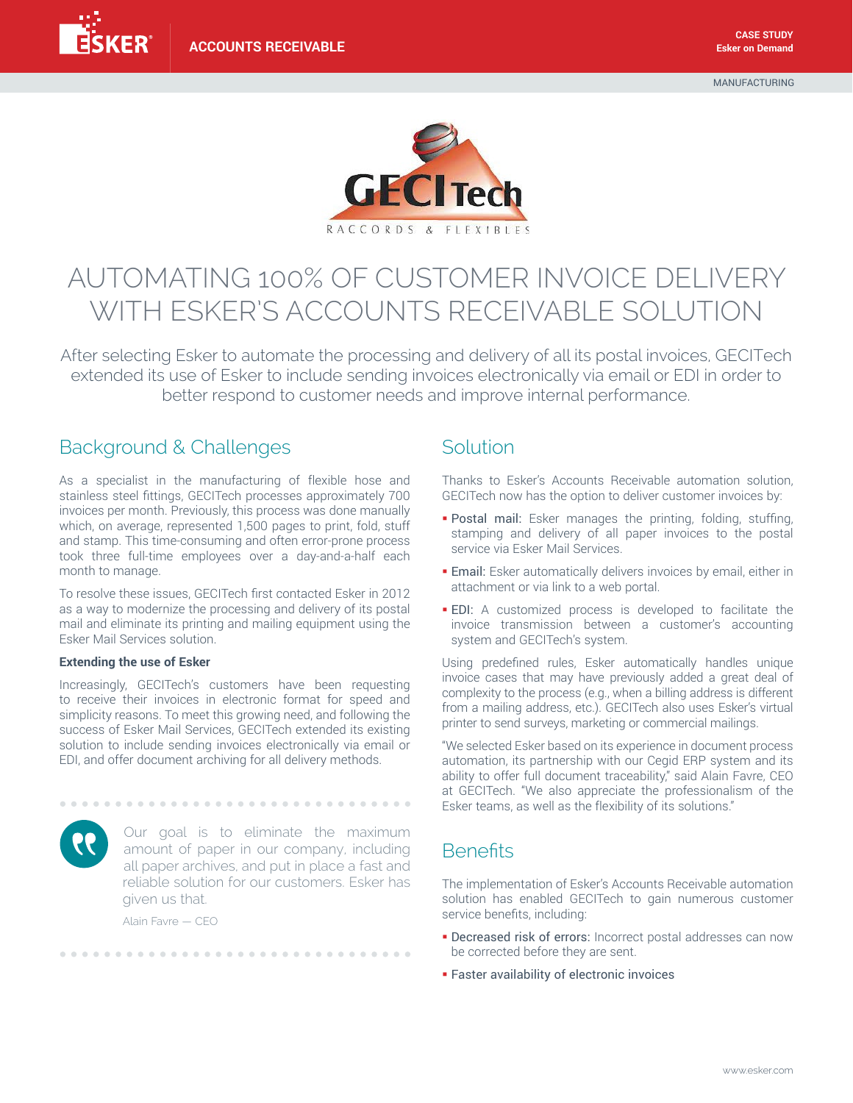

# AUTOMATING 100% OF CUSTOMER INVOICE DELIVERY WITH ESKER'S ACCOUNTS RECEIVABLE SOLUTION

After selecting Esker to automate the processing and delivery of all its postal invoices, GECITech extended its use of Esker to include sending invoices electronically via email or EDI in order to better respond to customer needs and improve internal performance.

# Background & Challenges

As a specialist in the manufacturing of flexible hose and stainless steel fittings, GECITech processes approximately 700 invoices per month. Previously, this process was done manually which, on average, represented 1,500 pages to print, fold, stuff and stamp. This time-consuming and often error-prone process took three full-time employees over a day-and-a-half each month to manage.

To resolve these issues, GECITech first contacted Esker in 2012 as a way to modernize the processing and delivery of its postal mail and eliminate its printing and mailing equipment using the Esker Mail Services solution.

#### **Extending the use of Esker**

Increasingly, GECITech's customers have been requesting to receive their invoices in electronic format for speed and simplicity reasons. To meet this growing need, and following the success of Esker Mail Services, GECITech extended its existing solution to include sending invoices electronically via email or EDI, and offer document archiving for all delivery methods.

Our goal is to eliminate the maximum amount of paper in our company, including all paper archives, and put in place a fast and reliable solution for our customers. Esker has given us that.

Alain Favre — CEO

## Solution

Thanks to Esker's Accounts Receivable automation solution, GECITech now has the option to deliver customer invoices by:

- § Postal mail: Esker manages the printing, folding, stuffing, stamping and delivery of all paper invoices to the postal service via Esker Mail Services.
- **Email:** Esker automatically delivers invoices by email, either in attachment or via link to a web portal.
- **EDI:** A customized process is developed to facilitate the invoice transmission between a customer's accounting system and GECITech's system.

Using predefined rules, Esker automatically handles unique invoice cases that may have previously added a great deal of complexity to the process (e.g., when a billing address is different from a mailing address, etc.). GECITech also uses Esker's virtual printer to send surveys, marketing or commercial mailings.

"We selected Esker based on its experience in document process automation, its partnership with our Cegid ERP system and its ability to offer full document traceability," said Alain Favre, CEO at GECITech. "We also appreciate the professionalism of the Esker teams, as well as the flexibility of its solutions."

## **Benefits**

The implementation of Esker's Accounts Receivable automation solution has enabled GECITech to gain numerous customer service benefits, including:

- **Decreased risk of errors:** Incorrect postal addresses can now be corrected before they are sent.
- **Faster availability of electronic invoices**